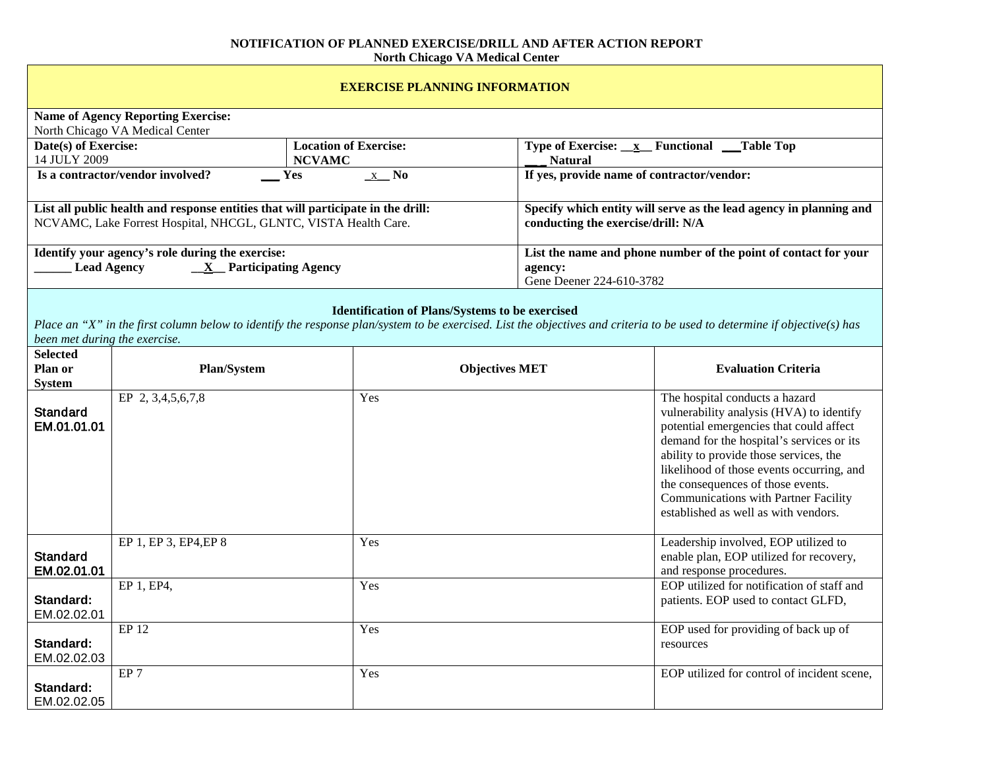## **NOTIFICATION OF PLANNED EXERCISE/DRILL AND AFTER ACTION REPORT North Chicago VA Medical Center**

÷

 $\mathbf{r}$ 

| <b>EXERCISE PLANNING INFORMATION</b>                                                                                                                                                                                                                                 |                       |                       |                                                                                                          |                                                                                                                                                                                                                                                                                                                                                                                |  |  |
|----------------------------------------------------------------------------------------------------------------------------------------------------------------------------------------------------------------------------------------------------------------------|-----------------------|-----------------------|----------------------------------------------------------------------------------------------------------|--------------------------------------------------------------------------------------------------------------------------------------------------------------------------------------------------------------------------------------------------------------------------------------------------------------------------------------------------------------------------------|--|--|
| <b>Name of Agency Reporting Exercise:</b><br>North Chicago VA Medical Center                                                                                                                                                                                         |                       |                       |                                                                                                          |                                                                                                                                                                                                                                                                                                                                                                                |  |  |
| Date(s) of Exercise:<br><b>Location of Exercise:</b><br>14 JULY 2009<br><b>NCVAMC</b>                                                                                                                                                                                |                       |                       | Type of Exercise: $\mathbf{x}$ Functional Table Top<br><b>Natural</b>                                    |                                                                                                                                                                                                                                                                                                                                                                                |  |  |
| Is a contractor/vendor involved?<br>$\underline{x}$ No<br>Yes                                                                                                                                                                                                        |                       |                       | If yes, provide name of contractor/vendor:                                                               |                                                                                                                                                                                                                                                                                                                                                                                |  |  |
| List all public health and response entities that will participate in the drill:<br>NCVAMC, Lake Forrest Hospital, NHCGL, GLNTC, VISTA Health Care.                                                                                                                  |                       |                       | Specify which entity will serve as the lead agency in planning and<br>conducting the exercise/drill: N/A |                                                                                                                                                                                                                                                                                                                                                                                |  |  |
| Identify your agency's role during the exercise:<br><b>Lead Agency</b><br>$\underline{\mathbf{X}}$ Participating Agency                                                                                                                                              |                       |                       | List the name and phone number of the point of contact for your<br>agency:<br>Gene Deener 224-610-3782   |                                                                                                                                                                                                                                                                                                                                                                                |  |  |
| <b>Identification of Plans/Systems to be exercised</b><br>Place an "X" in the first column below to identify the response plan/system to be exercised. List the objectives and criteria to be used to determine if objective(s) has<br>been met during the exercise. |                       |                       |                                                                                                          |                                                                                                                                                                                                                                                                                                                                                                                |  |  |
| <b>Selected</b><br>Plan or<br><b>System</b>                                                                                                                                                                                                                          | <b>Plan/System</b>    | <b>Objectives MET</b> |                                                                                                          | <b>Evaluation Criteria</b>                                                                                                                                                                                                                                                                                                                                                     |  |  |
| <b>Standard</b><br>EM.01.01.01                                                                                                                                                                                                                                       | EP 2, 3,4,5,6,7,8     | Yes                   |                                                                                                          | The hospital conducts a hazard<br>vulnerability analysis (HVA) to identify<br>potential emergencies that could affect<br>demand for the hospital's services or its<br>ability to provide those services, the<br>likelihood of those events occurring, and<br>the consequences of those events.<br>Communications with Partner Facility<br>established as well as with vendors. |  |  |
| <b>Standard</b><br>EM.02.01.01                                                                                                                                                                                                                                       | EP 1, EP 3, EP4, EP 8 | Yes                   |                                                                                                          | Leadership involved, EOP utilized to<br>enable plan, EOP utilized for recovery,<br>and response procedures.                                                                                                                                                                                                                                                                    |  |  |
| Standard:<br>EM.02.02.01                                                                                                                                                                                                                                             | EP 1, EP4,            | Yes                   |                                                                                                          | EOP utilized for notification of staff and<br>patients. EOP used to contact GLFD,                                                                                                                                                                                                                                                                                              |  |  |
| Standard:<br>EM.02.02.03                                                                                                                                                                                                                                             | EP 12                 | Yes                   |                                                                                                          | EOP used for providing of back up of<br>resources                                                                                                                                                                                                                                                                                                                              |  |  |
| Standard:<br>EM.02.02.05                                                                                                                                                                                                                                             | $E$ P 7               | Yes                   |                                                                                                          | EOP utilized for control of incident scene,                                                                                                                                                                                                                                                                                                                                    |  |  |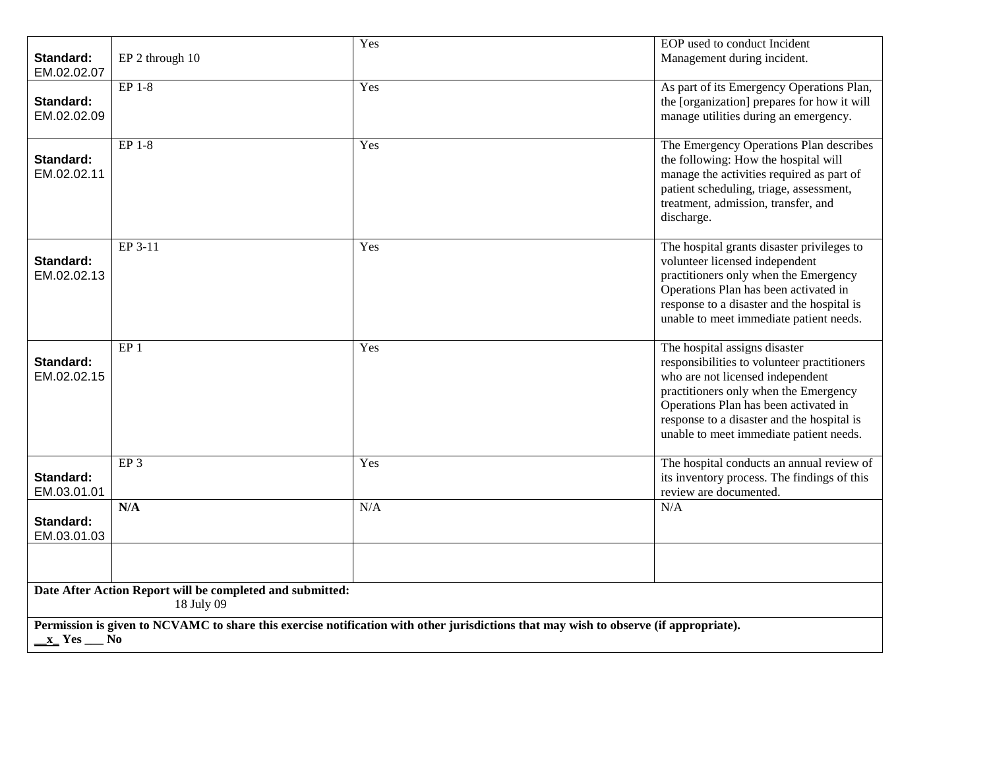| Standard:                                                                                                                                              | EP 2 through 10 | Yes | EOP used to conduct Incident<br>Management during incident.                                                                                                                                                                                                                                 |  |
|--------------------------------------------------------------------------------------------------------------------------------------------------------|-----------------|-----|---------------------------------------------------------------------------------------------------------------------------------------------------------------------------------------------------------------------------------------------------------------------------------------------|--|
| EM.02.02.07                                                                                                                                            |                 |     |                                                                                                                                                                                                                                                                                             |  |
| Standard:<br>EM.02.02.09                                                                                                                               | EP 1-8          | Yes | As part of its Emergency Operations Plan,<br>the [organization] prepares for how it will<br>manage utilities during an emergency.                                                                                                                                                           |  |
| Standard:<br>EM.02.02.11                                                                                                                               | $EP$ 1-8        | Yes | The Emergency Operations Plan describes<br>the following: How the hospital will<br>manage the activities required as part of<br>patient scheduling, triage, assessment,<br>treatment, admission, transfer, and<br>discharge.                                                                |  |
| Standard:<br>EM.02.02.13                                                                                                                               | EP 3-11         | Yes | The hospital grants disaster privileges to<br>volunteer licensed independent<br>practitioners only when the Emergency<br>Operations Plan has been activated in<br>response to a disaster and the hospital is<br>unable to meet immediate patient needs.                                     |  |
| Standard:<br>EM.02.02.15                                                                                                                               | EP <sub>1</sub> | Yes | The hospital assigns disaster<br>responsibilities to volunteer practitioners<br>who are not licensed independent<br>practitioners only when the Emergency<br>Operations Plan has been activated in<br>response to a disaster and the hospital is<br>unable to meet immediate patient needs. |  |
| Standard:<br>EM.03.01.01                                                                                                                               | EP <sub>3</sub> | Yes | The hospital conducts an annual review of<br>its inventory process. The findings of this<br>review are documented.                                                                                                                                                                          |  |
| Standard:<br>EM.03.01.03                                                                                                                               | N/A             | N/A | N/A                                                                                                                                                                                                                                                                                         |  |
|                                                                                                                                                        |                 |     |                                                                                                                                                                                                                                                                                             |  |
| Date After Action Report will be completed and submitted:<br>18 July 09                                                                                |                 |     |                                                                                                                                                                                                                                                                                             |  |
| Permission is given to NCVAMC to share this exercise notification with other jurisdictions that may wish to observe (if appropriate).<br>$x$ Yes $x_0$ |                 |     |                                                                                                                                                                                                                                                                                             |  |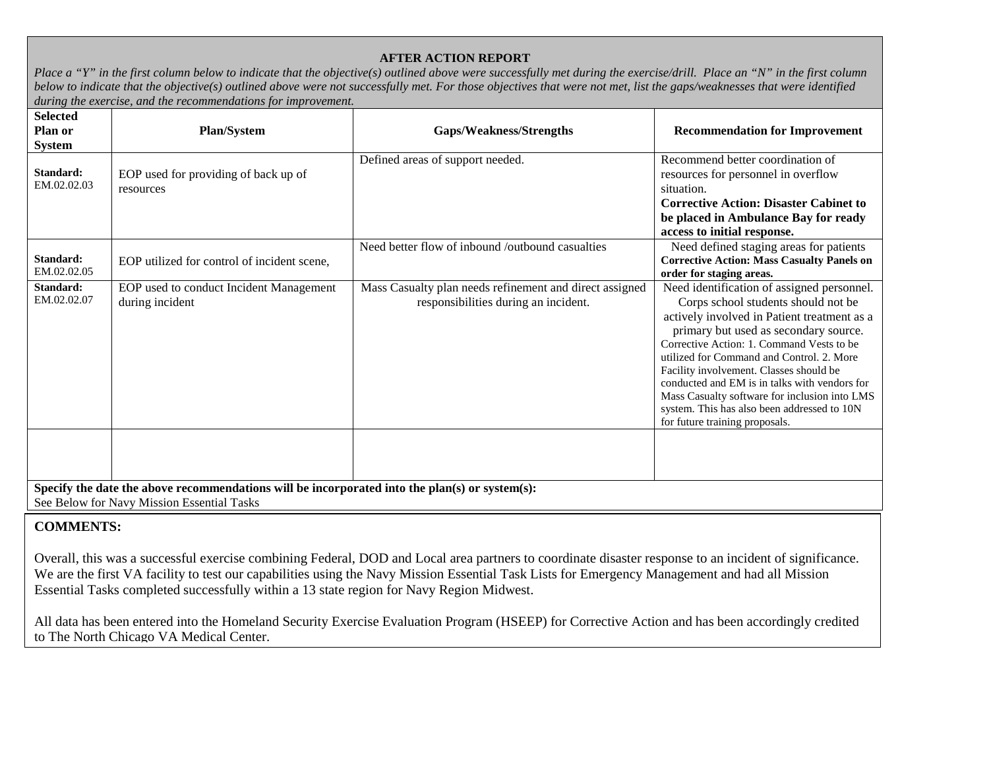## **AFTER ACTION REPORT**

*Place a "Y" in the first column below to indicate that the objective(s) outlined above were successfully met during the exercise/drill. Place an "N" in the first column below to indicate that the objective(s) outlined above were not successfully met. For those objectives that were not met, list the gaps/weaknesses that were identified during the exercise, and the recommendations for improvement.*

| <b>Selected</b><br>Plan or<br><b>System</b>                                                                                                  | <b>Plan/System</b>                                         | Gaps/Weakness/Strengths                                                                         | <b>Recommendation for Improvement</b>                                                                                                                                                                                                                                                                                                                                                                                                                                                             |  |
|----------------------------------------------------------------------------------------------------------------------------------------------|------------------------------------------------------------|-------------------------------------------------------------------------------------------------|---------------------------------------------------------------------------------------------------------------------------------------------------------------------------------------------------------------------------------------------------------------------------------------------------------------------------------------------------------------------------------------------------------------------------------------------------------------------------------------------------|--|
| Standard:<br>EM.02.02.03                                                                                                                     | EOP used for providing of back up of<br>resources          | Defined areas of support needed.                                                                | Recommend better coordination of<br>resources for personnel in overflow<br>situation.<br><b>Corrective Action: Disaster Cabinet to</b><br>be placed in Ambulance Bay for ready<br>access to initial response.                                                                                                                                                                                                                                                                                     |  |
| Standard:<br>EM.02.02.05                                                                                                                     | EOP utilized for control of incident scene.                | Need better flow of inbound /outbound casualties                                                | Need defined staging areas for patients<br><b>Corrective Action: Mass Casualty Panels on</b><br>order for staging areas.                                                                                                                                                                                                                                                                                                                                                                          |  |
| Standard:<br>EM.02.02.07                                                                                                                     | EOP used to conduct Incident Management<br>during incident | Mass Casualty plan needs refinement and direct assigned<br>responsibilities during an incident. | Need identification of assigned personnel.<br>Corps school students should not be<br>actively involved in Patient treatment as a<br>primary but used as secondary source.<br>Corrective Action: 1. Command Vests to be<br>utilized for Command and Control. 2. More<br>Facility involvement. Classes should be<br>conducted and EM is in talks with vendors for<br>Mass Casualty software for inclusion into LMS<br>system. This has also been addressed to 10N<br>for future training proposals. |  |
|                                                                                                                                              |                                                            |                                                                                                 |                                                                                                                                                                                                                                                                                                                                                                                                                                                                                                   |  |
| Specify the date the above recommendations will be incorporated into the plan(s) or system(s):<br>See Below for Navy Mission Essential Tasks |                                                            |                                                                                                 |                                                                                                                                                                                                                                                                                                                                                                                                                                                                                                   |  |

## **COMMENTS:**

Overall, this was a successful exercise combining Federal, DOD and Local area partners to coordinate disaster response to an incident of significance. We are the first VA facility to test our capabilities using the Navy Mission Essential Task Lists for Emergency Management and had all Mission Essential Tasks completed successfully within a 13 state region for Navy Region Midwest.

All data has been entered into the Homeland Security Exercise Evaluation Program (HSEEP) for Corrective Action and has been accordingly credited to The North Chicago VA Medical Center.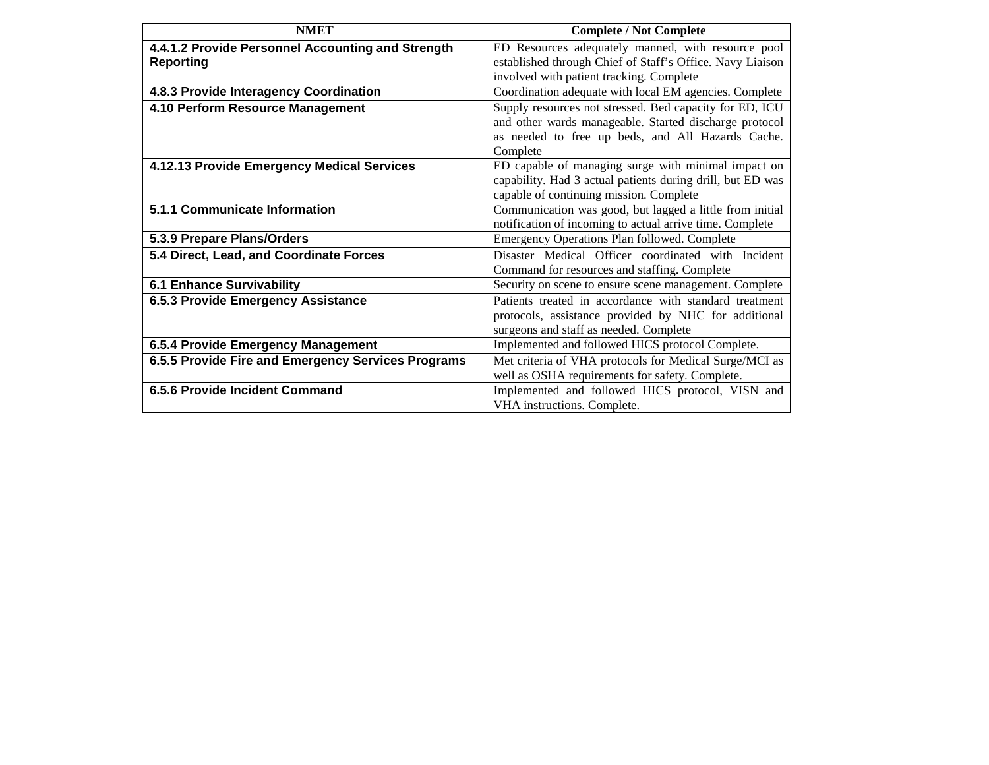| <b>NMET</b>                                        | <b>Complete / Not Complete</b>                             |
|----------------------------------------------------|------------------------------------------------------------|
| 4.4.1.2 Provide Personnel Accounting and Strength  | ED Resources adequately manned, with resource pool         |
| <b>Reporting</b>                                   | established through Chief of Staff's Office. Navy Liaison  |
|                                                    | involved with patient tracking. Complete                   |
| 4.8.3 Provide Interagency Coordination             | Coordination adequate with local EM agencies. Complete     |
| 4.10 Perform Resource Management                   | Supply resources not stressed. Bed capacity for ED, ICU    |
|                                                    | and other wards manageable. Started discharge protocol     |
|                                                    | as needed to free up beds, and All Hazards Cache.          |
|                                                    | Complete                                                   |
| 4.12.13 Provide Emergency Medical Services         | ED capable of managing surge with minimal impact on        |
|                                                    | capability. Had 3 actual patients during drill, but ED was |
|                                                    | capable of continuing mission. Complete                    |
| 5.1.1 Communicate Information                      | Communication was good, but lagged a little from initial   |
|                                                    | notification of incoming to actual arrive time. Complete   |
| 5.3.9 Prepare Plans/Orders                         | Emergency Operations Plan followed. Complete               |
| 5.4 Direct, Lead, and Coordinate Forces            | Disaster Medical Officer coordinated with Incident         |
|                                                    | Command for resources and staffing. Complete               |
| <b>6.1 Enhance Survivability</b>                   | Security on scene to ensure scene management. Complete     |
| 6.5.3 Provide Emergency Assistance                 | Patients treated in accordance with standard treatment     |
|                                                    | protocols, assistance provided by NHC for additional       |
|                                                    | surgeons and staff as needed. Complete                     |
| 6.5.4 Provide Emergency Management                 | Implemented and followed HICS protocol Complete.           |
| 6.5.5 Provide Fire and Emergency Services Programs | Met criteria of VHA protocols for Medical Surge/MCI as     |
|                                                    | well as OSHA requirements for safety. Complete.            |
| 6.5.6 Provide Incident Command                     | Implemented and followed HICS protocol, VISN and           |
|                                                    | VHA instructions. Complete.                                |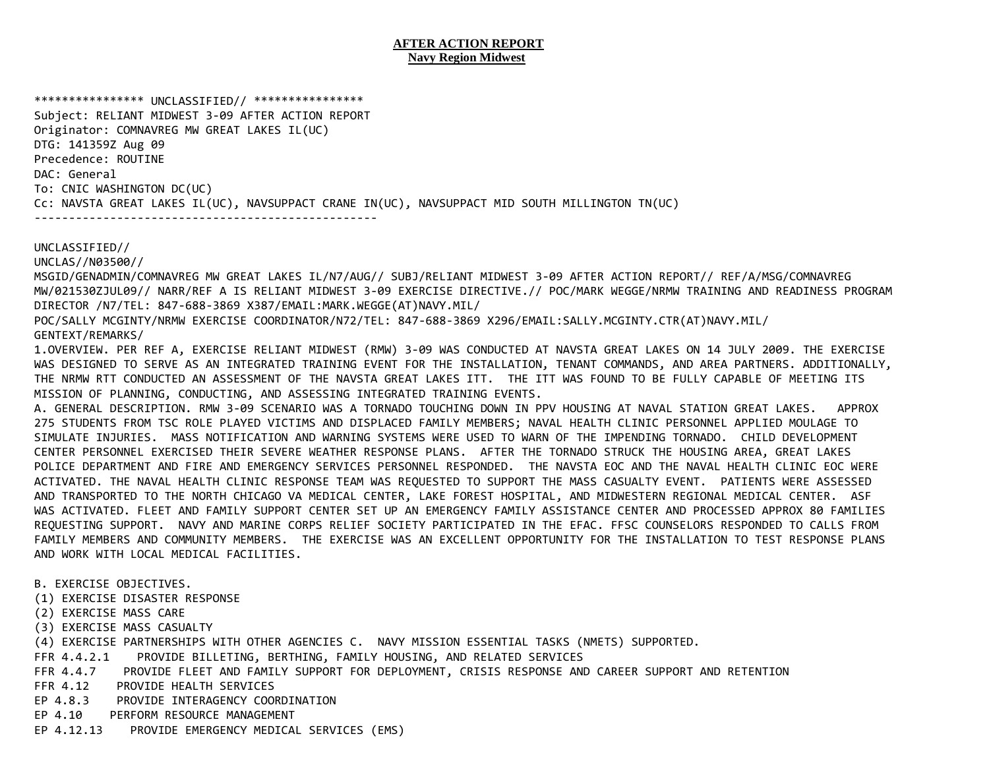## **AFTER ACTION REPORT Navy Region Midwest**

\*\*\*\*\*\*\*\*\*\*\*\*\*\*\*\* UNCLASSIFIED// \*\*\*\*\*\*\*\*\*\*\*\*\*\*\*\*

Subject: RELIANT MIDWEST 3-09 AFTER ACTION REPORT Originator: COMNAVREG MW GREAT LAKES IL(UC) DTG: 141359Z Aug 09 Precedence: ROUTINE DAC: General To: CNIC WASHINGTON DC(UC) Cc: NAVSTA GREAT LAKES IL(UC), NAVSUPPACT CRANE IN(UC), NAVSUPPACT MID SOUTH MILLINGTON TN(UC) --------------------------------------------------

UNCLASSIFIED//

UNCLAS//N03500//

MSGID/GENADMIN/COMNAVREG MW GREAT LAKES IL/N7/AUG// SUBJ/RELIANT MIDWEST 3-09 AFTER ACTION REPORT// REF/A/MSG/COMNAVREG MW/021530ZJUL09// NARR/REF A IS RELIANT MIDWEST 3-09 EXERCISE DIRECTIVE.// POC/MARK WEGGE/NRMW TRAINING AND READINESS PROGRAM DIRECTOR /N7/TEL: 847-688-3869 X387/EMAIL:MARK.WEGGE(AT)NAVY.MIL/

POC/SALLY MCGINTY/NRMW EXERCISE COORDINATOR/N72/TEL: 847-688-3869 X296/EMAIL:SALLY.MCGINTY.CTR(AT)NAVY.MIL/ GENTEXT/REMARKS/

1.OVERVIEW. PER REF A, EXERCISE RELIANT MIDWEST (RMW) 3-09 WAS CONDUCTED AT NAVSTA GREAT LAKES ON 14 JULY 2009. THE EXERCISE WAS DESIGNED TO SERVE AS AN INTEGRATED TRAINING EVENT FOR THE INSTALLATION, TENANT COMMANDS, AND AREA PARTNERS. ADDITIONALLY, THE NRMW RTT CONDUCTED AN ASSESSMENT OF THE NAVSTA GREAT LAKES ITT. THE ITT WAS FOUND TO BE FULLY CAPABLE OF MEETING ITS MISSION OF PLANNING, CONDUCTING, AND ASSESSING INTEGRATED TRAINING EVENTS.

A. GENERAL DESCRIPTION. RMW 3-09 SCENARIO WAS A TORNADO TOUCHING DOWN IN PPV HOUSING AT NAVAL STATION GREAT LAKES. APPROX 275 STUDENTS FROM TSC ROLE PLAYED VICTIMS AND DISPLACED FAMILY MEMBERS; NAVAL HEALTH CLINIC PERSONNEL APPLIED MOULAGE TO SIMULATE INJURIES. MASS NOTIFICATION AND WARNING SYSTEMS WERE USED TO WARN OF THE IMPENDING TORNADO. CHILD DEVELOPMENT CENTER PERSONNEL EXERCISED THEIR SEVERE WEATHER RESPONSE PLANS. AFTER THE TORNADO STRUCK THE HOUSING AREA, GREAT LAKES POLICE DEPARTMENT AND FIRE AND EMERGENCY SERVICES PERSONNEL RESPONDED. THE NAVSTA EOC AND THE NAVAL HEALTH CLINIC EOC WERE ACTIVATED. THE NAVAL HEALTH CLINIC RESPONSE TEAM WAS REQUESTED TO SUPPORT THE MASS CASUALTY EVENT. PATIENTS WERE ASSESSED AND TRANSPORTED TO THE NORTH CHICAGO VA MEDICAL CENTER, LAKE FOREST HOSPITAL, AND MIDWESTERN REGIONAL MEDICAL CENTER. ASF WAS ACTIVATED. FLEET AND FAMILY SUPPORT CENTER SET UP AN EMERGENCY FAMILY ASSISTANCE CENTER AND PROCESSED APPROX 80 FAMILIES REQUESTING SUPPORT. NAVY AND MARINE CORPS RELIEF SOCIETY PARTICIPATED IN THE EFAC. FFSC COUNSELORS RESPONDED TO CALLS FROM FAMILY MEMBERS AND COMMUNITY MEMBERS. THE EXERCISE WAS AN EXCELLENT OPPORTUNITY FOR THE INSTALLATION TO TEST RESPONSE PLANS AND WORK WITH LOCAL MEDICAL FACILITIES.

- B. EXERCISE OBJECTIVES.
- (1) EXERCISE DISASTER RESPONSE
- (2) EXERCISE MASS CARE
- (3) EXERCISE MASS CASUALTY
- (4) EXERCISE PARTNERSHIPS WITH OTHER AGENCIES C. NAVY MISSION ESSENTIAL TASKS (NMETS) SUPPORTED.
- FFR 4.4.2.1 PROVIDE BILLETING, BERTHING, FAMILY HOUSING, AND RELATED SERVICES
- FFR 4.4.7 PROVIDE FLEET AND FAMILY SUPPORT FOR DEPLOYMENT, CRISIS RESPONSE AND CAREER SUPPORT AND RETENTION
- FFR 4.12 PROVIDE HEALTH SERVICES
- EP 4.8.3 PROVIDE INTERAGENCY COORDINATION
- EP 4.10 PERFORM RESOURCE MANAGEMENT
- EP 4.12.13 PROVIDE EMERGENCY MEDICAL SERVICES (EMS)